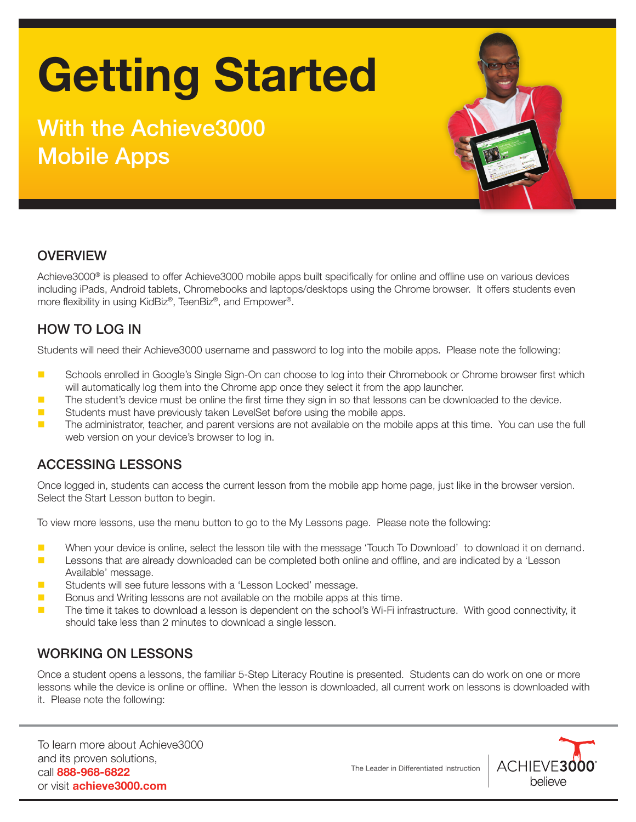# Getting Started

### With the Achieve3000 Mobile Apps



#### **OVERVIEW**

Achieve3000® is pleased to offer Achieve3000 mobile apps built specifically for online and offline use on various devices including iPads, Android tablets, Chromebooks and laptops/desktops using the Chrome browser. It offers students even more flexibility in using KidBiz®, TeenBiz®, and Empower®.

#### HOW TO LOG IN

Students will need their Achieve3000 username and password to log into the mobile apps. Please note the following:

- Schools enrolled in Google's Single Sign-On can choose to log into their Chromebook or Chrome browser first which will automatically log them into the Chrome app once they select it from the app launcher.
- **Demographs** The student's device must be online the first time they sign in so that lessons can be downloaded to the device.
- **EXECUTE:** Students must have previously taken LevelSet before using the mobile apps.
- **The administrator, teacher, and parent versions are not available on the mobile apps at this time. You can use the full** web version on your device's browser to log in.

#### ACCESSING LESSONS

Once logged in, students can access the current lesson from the mobile app home page, just like in the browser version. Select the Start Lesson button to begin.

To view more lessons, use the menu button to go to the My Lessons page. Please note the following:

- When your device is online, select the lesson tile with the message 'Touch To Download' to download it on demand.
- **Lessons that are already downloaded can be completed both online and offline, and are indicated by a 'Lesson** Available' message.
- **B** Students will see future lessons with a 'Lesson Locked' message.
- **Dance Bonus and Writing lessons are not available on the mobile apps at this time.**
- The time it takes to download a lesson is dependent on the school's Wi-Fi infrastructure. With good connectivity, it should take less than 2 minutes to download a single lesson.

#### WORKING ON LESSONS

Once a student opens a lessons, the familiar 5-Step Literacy Routine is presented. Students can do work on one or more lessons while the device is online or offline. When the lesson is downloaded, all current work on lessons is downloaded with it. Please note the following:

To learn more about Achieve3000 and its proven solutions, call 888-968-6822 or visit **achieve3000.com** 

The Leader in Differentiated Instruction